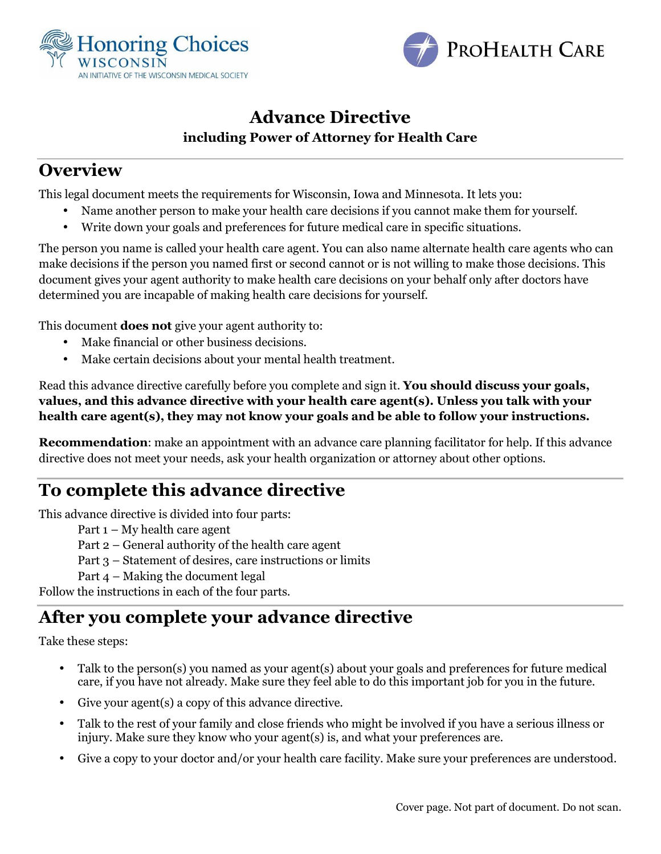



### **Advance Directive including Power of Attorney for Health Care**

## **Overview**

This legal document meets the requirements for Wisconsin, Iowa and Minnesota. It lets you:

- Name another person to make your health care decisions if you cannot make them for yourself.
- Write down your goals and preferences for future medical care in specific situations.

The person you name is called your health care agent. You can also name alternate health care agents who can make decisions if the person you named first or second cannot or is not willing to make those decisions. This document gives your agent authority to make health care decisions on your behalf only after doctors have determined you are incapable of making health care decisions for yourself.

This document **does not** give your agent authority to:

- Make financial or other business decisions.
- Make certain decisions about your mental health treatment.

Read this advance directive carefully before you complete and sign it. **You should discuss your goals, values, and this advance directive with your health care agent(s). Unless you talk with your health care agent(s), they may not know your goals and be able to follow your instructions.** 

**Recommendation**: make an appointment with an advance care planning facilitator for help. If this advance directive does not meet your needs, ask your health organization or attorney about other options.

# **To complete this advance directive**

This advance directive is divided into four parts:

- Part 1 My health care agent
- Part 2 General authority of the health care agent
- Part 3 Statement of desires, care instructions or limits
- Part 4 Making the document legal

Follow the instructions in each of the four parts.

## **After you complete your advance directive**

Take these steps:

- Talk to the person(s) you named as your agent(s) about your goals and preferences for future medical care, if you have not already. Make sure they feel able to do this important job for you in the future.
- Give your agent(s) a copy of this advance directive.
- Talk to the rest of your family and close friends who might be involved if you have a serious illness or injury. Make sure they know who your agent(s) is, and what your preferences are.
- Give a copy to your doctor and/or your health care facility. Make sure your preferences are understood.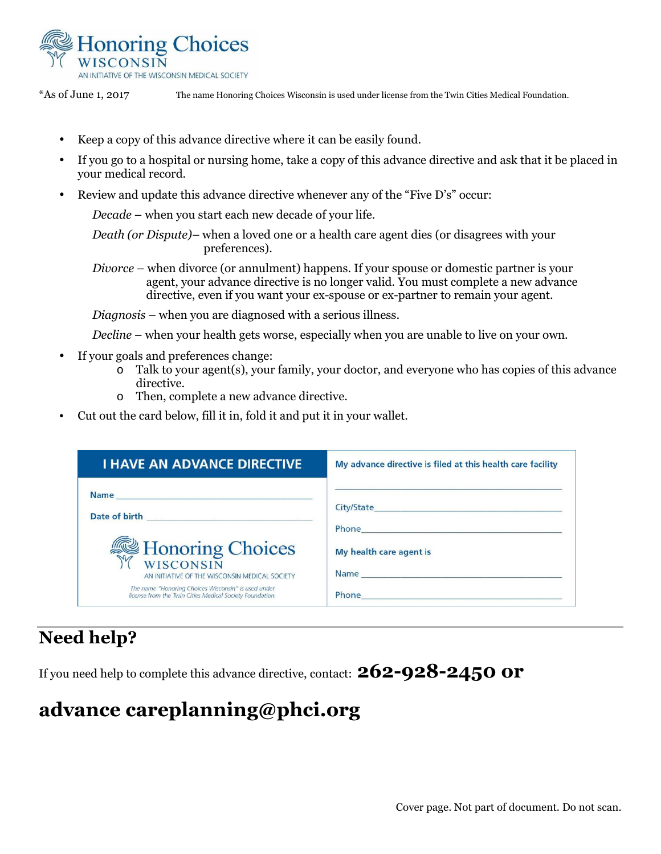

\*As of June 1, 2017 The name Honoring Choices Wisconsin is used under license from the Twin Cities Medical Foundation.

- Keep a copy of this advance directive where it can be easily found.
- If you go to a hospital or nursing home, take a copy of this advance directive and ask that it be placed in your medical record.
- Review and update this advance directive whenever any of the "Five D's" occur:

*Decade* – when you start each new decade of your life.

*Death (or Dispute)–* when a loved one or a health care agent dies (or disagrees with your preferences).

*Divorce* – when divorce (or annulment) happens. If your spouse or domestic partner is your agent, your advance directive is no longer valid. You must complete a new advance directive, even if you want your ex-spouse or ex-partner to remain your agent.

*Diagnosis* – when you are diagnosed with a serious illness.

*Decline* – when your health gets worse, especially when you are unable to live on your own.

- If your goals and preferences change:
	- $\overline{\circ}$  Talk to your agent(s), your family, your doctor, and everyone who has copies of this advance directive.
	- o Then, complete a new advance directive.
- Cut out the card below, fill it in, fold it and put it in your wallet.

| <b>I HAVE AN ADVANCE DIRECTIVE</b>                                                                              | My advance directive is filed at this health care facility                                                                                                                                                                           |
|-----------------------------------------------------------------------------------------------------------------|--------------------------------------------------------------------------------------------------------------------------------------------------------------------------------------------------------------------------------------|
| Date of birth <b>Exercise 2018</b>                                                                              |                                                                                                                                                                                                                                      |
| Honoring Choices<br>AN INITIATIVE OF THE WISCONSIN MEDICAL SOCIETY                                              | Phone <b>Phone</b><br>My health care agent is                                                                                                                                                                                        |
| The name "Honoring Choices Wisconsin" is used under<br>license from the Twin Cities Medical Society Foundation. | Phone <b>contract the contract of the contract of the contract of the contract of the contract of the contract of the contract of the contract of the contract of the contract of the contract of the contract of the contract o</b> |

## **Need help?**

If you need help to complete this advance directive, contact: **262-928-2450 or** 

# **advance careplanning@phci.org**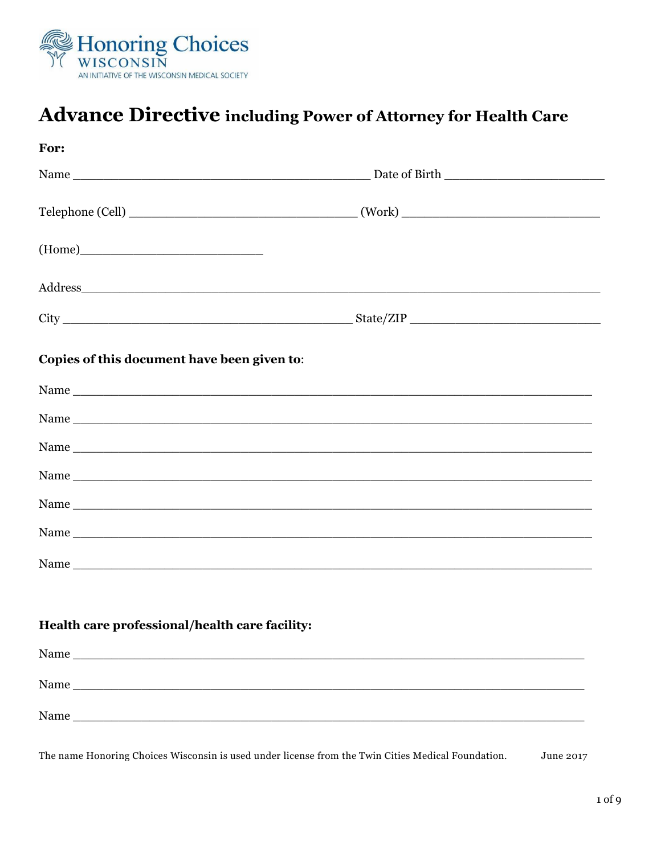

# Advance Directive including Power of Attorney for Health Care

| For:                                                                                                                                                                                                                           |  |
|--------------------------------------------------------------------------------------------------------------------------------------------------------------------------------------------------------------------------------|--|
|                                                                                                                                                                                                                                |  |
|                                                                                                                                                                                                                                |  |
|                                                                                                                                                                                                                                |  |
| Address and the contract of the contract of the contract of the contract of the contract of the contract of the contract of the contract of the contract of the contract of the contract of the contract of the contract of th |  |
|                                                                                                                                                                                                                                |  |
| Copies of this document have been given to:                                                                                                                                                                                    |  |
|                                                                                                                                                                                                                                |  |
|                                                                                                                                                                                                                                |  |
|                                                                                                                                                                                                                                |  |
|                                                                                                                                                                                                                                |  |
|                                                                                                                                                                                                                                |  |
|                                                                                                                                                                                                                                |  |
|                                                                                                                                                                                                                                |  |
| Health care professional/health care facility:                                                                                                                                                                                 |  |
| Name                                                                                                                                                                                                                           |  |
| Name                                                                                                                                                                                                                           |  |
|                                                                                                                                                                                                                                |  |

The name Honoring Choices Wisconsin is used under license from the Twin Cities Medical Foundation. June 2017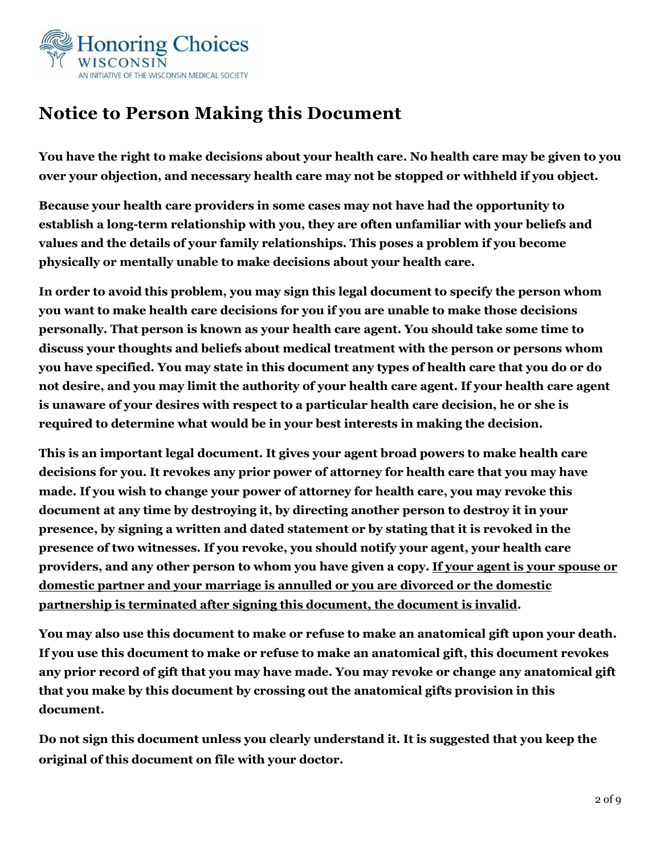

# **Notice to Person Making this Document**

**You have the right to make decisions about your health care. No health care may be given to you over your objection, and necessary health care may not be stopped or withheld if you object.** 

**Because your health care providers in some cases may not have had the opportunity to establish a long-term relationship with you, they are often unfamiliar with your beliefs and values and the details of your family relationships. This poses a problem if you become physically or mentally unable to make decisions about your health care.** 

**In order to avoid this problem, you may sign this legal document to specify the person whom you want to make health care decisions for you if you are unable to make those decisions personally. That person is known as your health care agent. You should take some time to discuss your thoughts and beliefs about medical treatment with the person or persons whom you have specified. You may state in this document any types of health care that you do or do not desire, and you may limit the authority of your health care agent. If your health care agent is unaware of your desires with respect to a particular health care decision, he or she is required to determine what would be in your best interests in making the decision.** 

**This is an important legal document. It gives your agent broad powers to make health care decisions for you. It revokes any prior power of attorney for health care that you may have made. If you wish to change your power of attorney for health care, you may revoke this document at any time by destroying it, by directing another person to destroy it in your presence, by signing a written and dated statement or by stating that it is revoked in the presence of two witnesses. If you revoke, you should notify your agent, your health care providers, and any other person to whom you have given a copy. If your agent is your spouse or domestic partner and your marriage is annulled or you are divorced or the domestic partnership is terminated after signing this document, the document is invalid.** 

**You may also use this document to make or refuse to make an anatomical gift upon your death. If you use this document to make or refuse to make an anatomical gift, this document revokes any prior record of gift that you may have made. You may revoke or change any anatomical gift that you make by this document by crossing out the anatomical gifts provision in this document.** 

**Do not sign this document unless you clearly understand it. It is suggested that you keep the original of this document on file with your doctor.**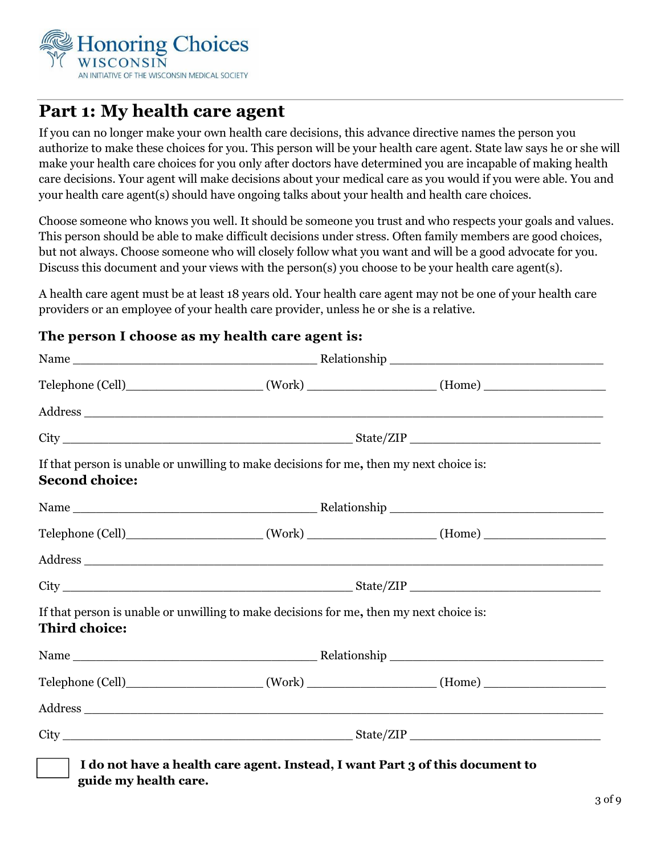

## **Part 1: My health care agent**

If you can no longer make your own health care decisions, this advance directive names the person you authorize to make these choices for you. This person will be your health care agent. State law says he or she will make your health care choices for you only after doctors have determined you are incapable of making health care decisions. Your agent will make decisions about your medical care as you would if you were able. You and your health care agent(s) should have ongoing talks about your health and health care choices.

Choose someone who knows you well. It should be someone you trust and who respects your goals and values. This person should be able to make difficult decisions under stress. Often family members are good choices, but not always. Choose someone who will closely follow what you want and will be a good advocate for you. Discuss this document and your views with the person(s) you choose to be your health care agent(s).

A health care agent must be at least 18 years old. Your health care agent may not be one of your health care providers or an employee of your health care provider, unless he or she is a relative.

### **The person I choose as my health care agent is:**

| <b>Second choice:</b> | If that person is unable or unwilling to make decisions for me, then my next choice is:            |  |  |
|-----------------------|----------------------------------------------------------------------------------------------------|--|--|
|                       |                                                                                                    |  |  |
|                       |                                                                                                    |  |  |
|                       |                                                                                                    |  |  |
|                       | $City$ $\qquad \qquad$ $\qquad \qquad$ $\qquad \qquad$ $\qquad \qquad$ $State/ZIP$ $\qquad \qquad$ |  |  |
| <b>Third choice:</b>  | If that person is unable or unwilling to make decisions for me, then my next choice is:            |  |  |
|                       |                                                                                                    |  |  |
|                       |                                                                                                    |  |  |
|                       |                                                                                                    |  |  |
|                       |                                                                                                    |  |  |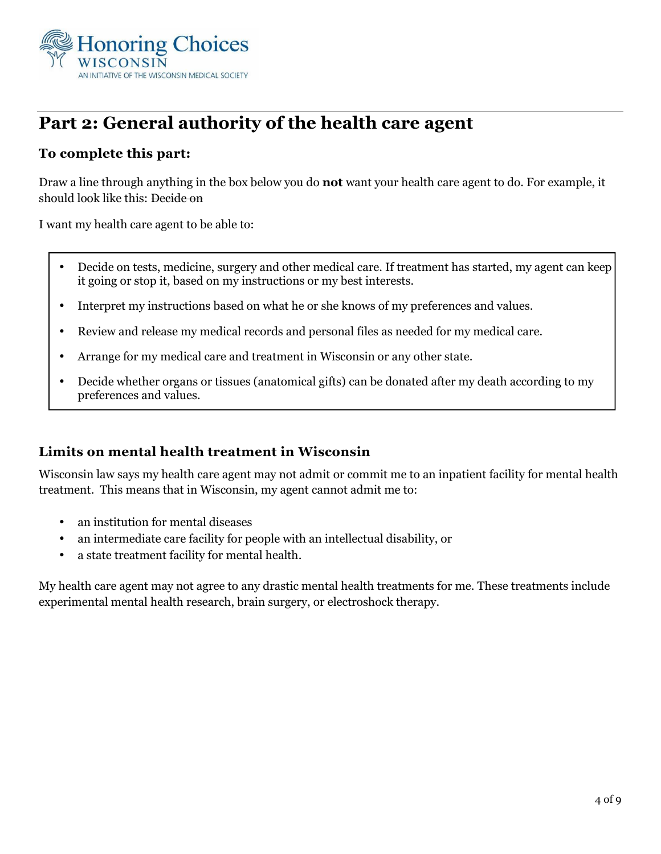

# **Part 2: General authority of the health care agent**

### **To complete this part:**

Draw a line through anything in the box below you do **not** want your health care agent to do. For example, it should look like this: Decide on

I want my health care agent to be able to:

- Decide on tests, medicine, surgery and other medical care. If treatment has started, my agent can keep it going or stop it, based on my instructions or my best interests.
- Interpret my instructions based on what he or she knows of my preferences and values.
- Review and release my medical records and personal files as needed for my medical care.
- Arrange for my medical care and treatment in Wisconsin or any other state.
- Decide whether organs or tissues (anatomical gifts) can be donated after my death according to my preferences and values.

### **Limits on mental health treatment in Wisconsin**

Wisconsin law says my health care agent may not admit or commit me to an inpatient facility for mental health treatment. This means that in Wisconsin, my agent cannot admit me to:

- an institution for mental diseases
- an intermediate care facility for people with an intellectual disability, or
- a state treatment facility for mental health.

My health care agent may not agree to any drastic mental health treatments for me. These treatments include experimental mental health research, brain surgery, or electroshock therapy.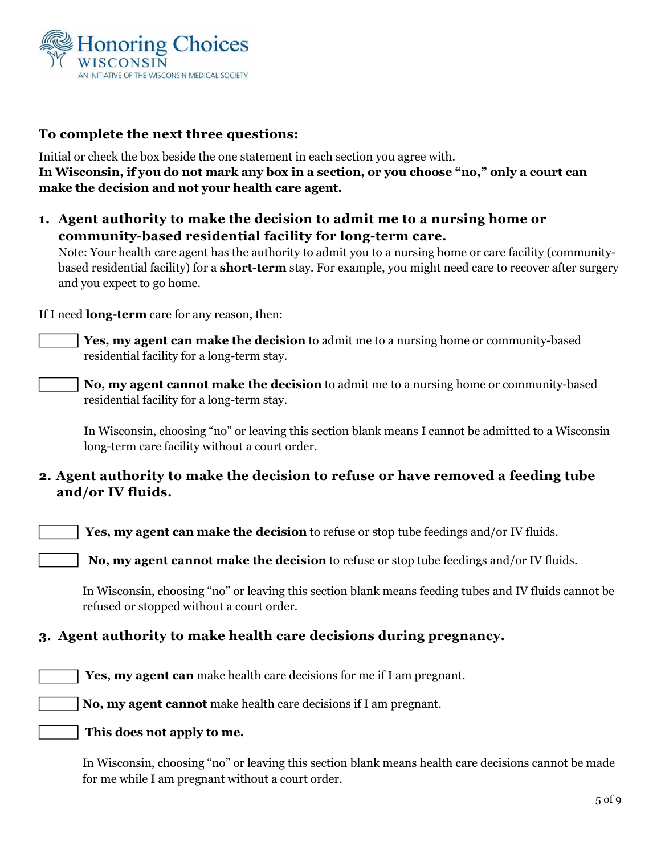

#### **To complete the next three questions:**

Initial or check the box beside the one statement in each section you agree with. **In Wisconsin, if you do not mark any box in a section, or you choose "no," only a court can make the decision and not your health care agent.**

**1. Agent authority to make the decision to admit me to a nursing home or community-based residential facility for long-term care.** 

Note: Your health care agent has the authority to admit you to a nursing home or care facility (communitybased residential facility) for a **short-term** stay. For example, you might need care to recover after surgery and you expect to go home.

If I need **long-term** care for any reason, then:

**Yes, my agent can make the decision** to admit me to a nursing home or community-based residential facility for a long-term stay.

**No, my agent cannot make the decision** to admit me to a nursing home or community-based residential facility for a long-term stay.

In Wisconsin, choosing "no" or leaving this section blank means I cannot be admitted to a Wisconsin long-term care facility without a court order.

### **2. Agent authority to make the decision to refuse or have removed a feeding tube and/or IV fluids.**

 **Yes, my agent can make the decision** to refuse or stop tube feedings and/or IV fluids.

 **No, my agent cannot make the decision** to refuse or stop tube feedings and/or IV fluids*.* 

In Wisconsin, *c*hoosing "no" or leaving this section blank means feeding tubes and IV fluids cannot be refused or stopped without a court order.

### **3. Agent authority to make health care decisions during pregnancy.**

 **Yes, my agent can** make health care decisions for me if I am pregnant.

**No, my agent cannot** make health care decisions if I am pregnant.

#### **This does not apply to me.**

In Wisconsin, choosing "no" or leaving this section blank means health care decisions cannot be made for me while I am pregnant without a court order.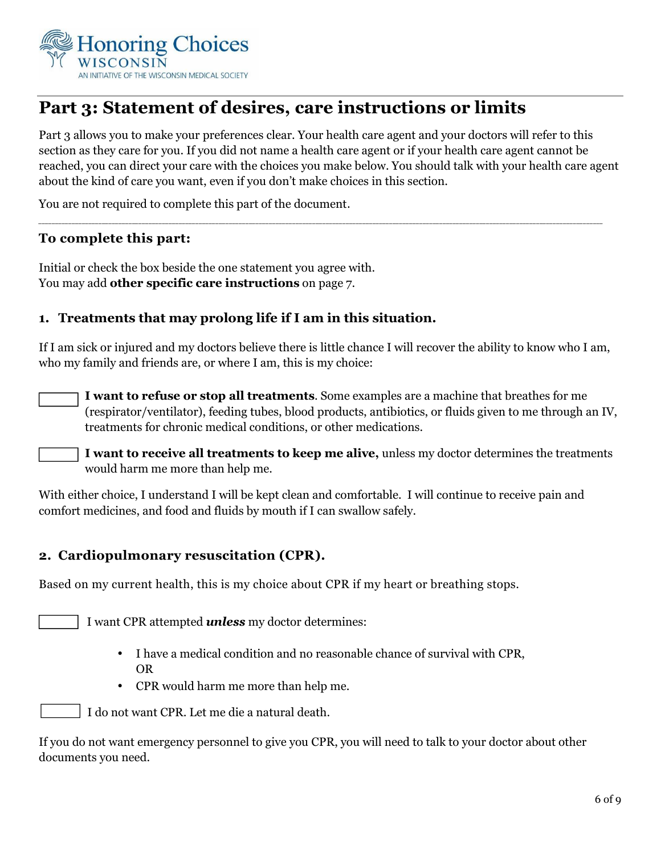

# **Part 3: Statement of desires, care instructions or limits**

Part 3 allows you to make your preferences clear. Your health care agent and your doctors will refer to this section as they care for you. If you did not name a health care agent or if your health care agent cannot be reached, you can direct your care with the choices you make below. You should talk with your health care agent about the kind of care you want, even if you don't make choices in this section.

*\_\_\_\_\_\_\_\_\_\_\_\_\_\_\_\_\_\_\_\_\_\_\_\_\_\_\_\_\_\_\_\_\_\_\_\_\_\_\_\_\_\_\_\_\_\_\_\_\_\_\_\_\_\_\_\_\_\_\_\_\_\_\_\_\_\_\_\_\_\_\_\_\_\_\_\_\_\_\_\_\_\_\_\_\_\_\_\_\_\_\_\_\_\_\_\_\_\_\_\_\_\_\_\_\_\_\_\_\_\_\_\_\_\_\_\_\_\_\_\_\_\_\_\_\_\_\_\_\_\_\_\_\_\_\_\_\_\_\_\_\_\_\_\_\_\_\_\_\_\_\_\_\_\_\_\_\_\_\_\_\_\_\_\_\_\_\_\_\_*

You are not required to complete this part of the document.

#### **To complete this part:**

Initial or check the box beside the one statement you agree with. You may add **other specific care instructions** on page 7.

#### **1. Treatments that may prolong life if I am in this situation.**

If I am sick or injured and my doctors believe there is little chance I will recover the ability to know who I am, who my family and friends are, or where I am, this is my choice:

**I want to refuse or stop all treatments**. Some examples are a machine that breathes for me (respirator/ventilator), feeding tubes, blood products, antibiotics, or fluids given to me through an IV, treatments for chronic medical conditions, or other medications.

**I want to receive all treatments to keep me alive,** unless my doctor determines the treatments would harm me more than help me.

With either choice, I understand I will be kept clean and comfortable. I will continue to receive pain and comfort medicines, and food and fluids by mouth if I can swallow safely.

### **2. Cardiopulmonary resuscitation (CPR).**

Based on my current health, this is my choice about CPR if my heart or breathing stops.

I want CPR attempted *unless* my doctor determines:

- I have a medical condition and no reasonable chance of survival with CPR, OR
- CPR would harm me more than help me.

I do not want CPR. Let me die a natural death.

If you do not want emergency personnel to give you CPR, you will need to talk to your doctor about other documents you need.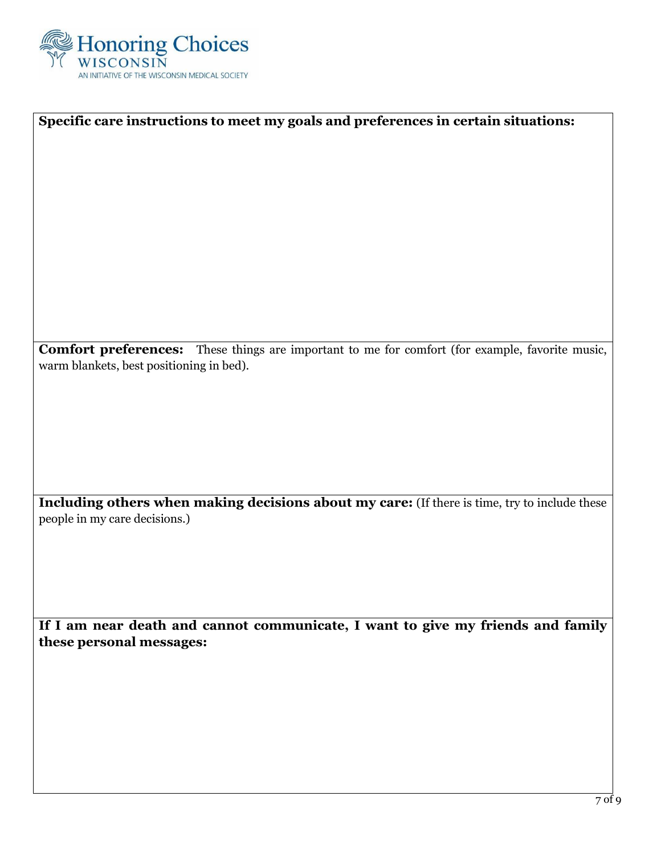

| Specific care instructions to meet my goals and preferences in certain situations:<br>Comfort preferences: These things are important to me for comfort (for example, favorite music,<br>warm blankets, best positioning in bed). |
|-----------------------------------------------------------------------------------------------------------------------------------------------------------------------------------------------------------------------------------|
|                                                                                                                                                                                                                                   |
|                                                                                                                                                                                                                                   |
|                                                                                                                                                                                                                                   |
|                                                                                                                                                                                                                                   |
|                                                                                                                                                                                                                                   |
|                                                                                                                                                                                                                                   |
|                                                                                                                                                                                                                                   |
|                                                                                                                                                                                                                                   |
|                                                                                                                                                                                                                                   |
|                                                                                                                                                                                                                                   |
|                                                                                                                                                                                                                                   |
|                                                                                                                                                                                                                                   |
|                                                                                                                                                                                                                                   |
|                                                                                                                                                                                                                                   |
|                                                                                                                                                                                                                                   |
|                                                                                                                                                                                                                                   |
|                                                                                                                                                                                                                                   |
|                                                                                                                                                                                                                                   |
|                                                                                                                                                                                                                                   |
|                                                                                                                                                                                                                                   |
|                                                                                                                                                                                                                                   |
|                                                                                                                                                                                                                                   |
|                                                                                                                                                                                                                                   |
|                                                                                                                                                                                                                                   |
|                                                                                                                                                                                                                                   |
| Including others when making decisions about my care: (If there is time, try to include these                                                                                                                                     |
| people in my care decisions.)                                                                                                                                                                                                     |
|                                                                                                                                                                                                                                   |
|                                                                                                                                                                                                                                   |
|                                                                                                                                                                                                                                   |
|                                                                                                                                                                                                                                   |
|                                                                                                                                                                                                                                   |
|                                                                                                                                                                                                                                   |
| If I am near death and cannot communicate, I want to give my friends and family                                                                                                                                                   |
| these personal messages:                                                                                                                                                                                                          |
|                                                                                                                                                                                                                                   |
|                                                                                                                                                                                                                                   |
|                                                                                                                                                                                                                                   |
|                                                                                                                                                                                                                                   |
|                                                                                                                                                                                                                                   |
|                                                                                                                                                                                                                                   |
|                                                                                                                                                                                                                                   |
|                                                                                                                                                                                                                                   |
|                                                                                                                                                                                                                                   |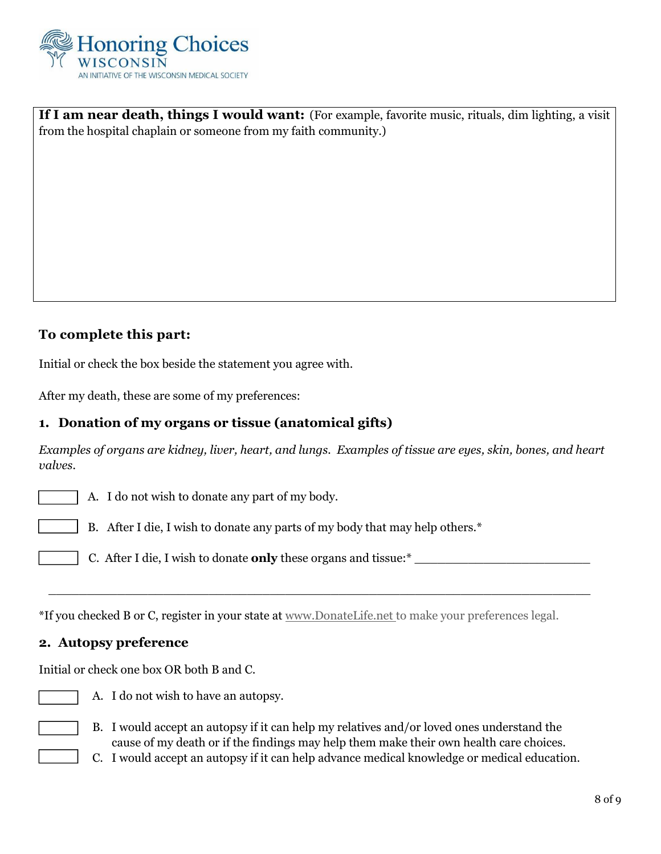

**If I am near death, things I would want:** (For example, favorite music, rituals, dim lighting, a visit from the hospital chaplain or someone from my faith community.)

### **To complete this part:**

Initial or check the box beside the statement you agree with.

After my death, these are some of my preferences:

#### **1. Donation of my organs or tissue (anatomical gifts)**

*Examples of organs are kidney, liver, heart, and lungs. Examples of tissue are eyes, skin, bones, and heart valves.* 

A. I do not wish to donate any part of my body.

B. After I die, I wish to donate any parts of my body that may help others.\*

C. After I die, I wish to donate **only** these organs and tissue:\*

 $\_$  . The contribution of the contribution of  $\overline{a}$  ,  $\overline{b}$  ,  $\overline{c}$  ,  $\overline{c}$  ,  $\overline{c}$  ,  $\overline{c}$  ,  $\overline{c}$  ,  $\overline{c}$  ,  $\overline{c}$  ,  $\overline{c}$  ,  $\overline{c}$  ,  $\overline{c}$  ,  $\overline{c}$  ,  $\overline{c}$  ,  $\overline{c}$  ,  $\overline{c}$  ,

\*If you checked B or C, register in your state at www.DonateLife.net to make your preferences legal.

#### **2. Autopsy preference**

Initial or check one box OR both B and C.



A. I do not wish to have an autopsy.

B. I would accept an autopsy if it can help my relatives and/or loved ones understand the cause of my death or if the findings may help them make their own health care choices.

C. I would accept an autopsy if it can help advance medical knowledge or medical education.